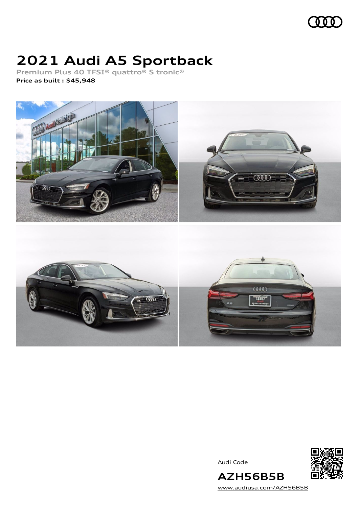### III

# **2021 Audi A5 Sportback**

**Premium Plus 40 TFSI® quattro® S tronic® Price as built [:](#page-8-0) \$45,948**



Audi Code



**AZH56B5B** [www.audiusa.com/AZH56B5B](https://www.audiusa.com/AZH56B5B)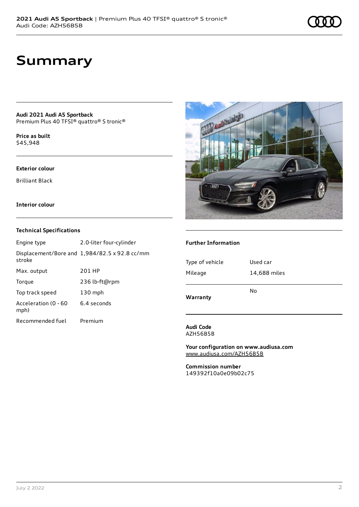## **Summary**

**Audi 2021 Audi A5 Sportback** Premium Plus 40 TFSI® quattro® S tronic®

**Price as buil[t](#page-8-0)** \$45,948

#### **Exterior colour**

Brilliant Black

#### **Interior colour**

#### **Technical Specifications**

| Engine type                  | 2.0-liter four-cylinder                              |
|------------------------------|------------------------------------------------------|
| stroke                       | Displacement/Bore and $1,984/82.5 \times 92.8$ cc/mm |
| Max. output                  | 201 HP                                               |
| Torque                       | 236 lb-ft@rpm                                        |
| Top track speed              | $130$ mph                                            |
| Acceleration (0 - 60<br>mph) | 6.4 seconds                                          |
| Recommended fuel             | Premium                                              |



#### **Further Information**

| Warranty        | No           |
|-----------------|--------------|
| Mileage         | 14,688 miles |
| Type of vehicle | Used car     |
|                 |              |

**Audi Code** AZH56B5B

**Your configuration on www.audiusa.com** [www.audiusa.com/AZH56B5B](https://www.audiusa.com/AZH56B5B)

**Commission number** 149392f10a0e09b02c75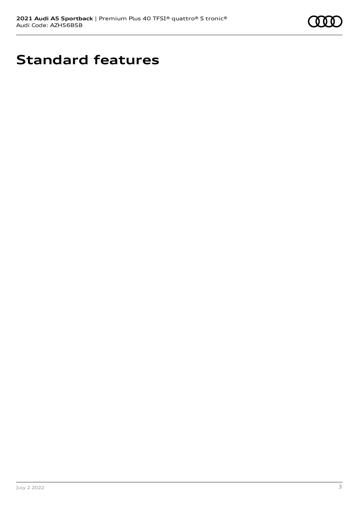

# **Standard features**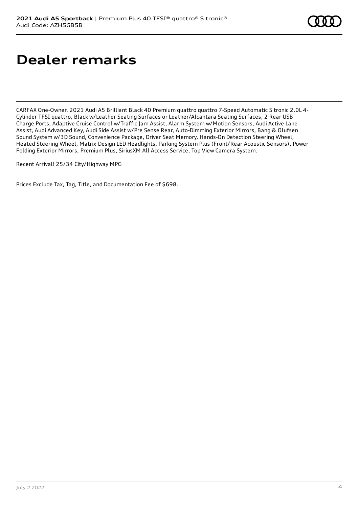# **Dealer remarks**

CARFAX One-Owner. 2021 Audi A5 Brilliant Black 40 Premium quattro quattro 7-Speed Automatic S tronic 2.0L 4- Cylinder TFSI quattro, Black w/Leather Seating Surfaces or Leather/Alcantara Seating Surfaces, 2 Rear USB Charge Ports, Adaptive Cruise Control w/Traffic Jam Assist, Alarm System w/Motion Sensors, Audi Active Lane Assist, Audi Advanced Key, Audi Side Assist w/Pre Sense Rear, Auto-Dimming Exterior Mirrors, Bang & Olufsen Sound System w/3D Sound, Convenience Package, Driver Seat Memory, Hands-On Detection Steering Wheel, Heated Steering Wheel, Matrix-Design LED Headlights, Parking System Plus (Front/Rear Acoustic Sensors), Power Folding Exterior Mirrors, Premium Plus, SiriusXM All Access Service, Top View Camera System.

Recent Arrival! 25/34 City/Highway MPG

Prices Exclude Tax, Tag, Title, and Documentation Fee of \$698.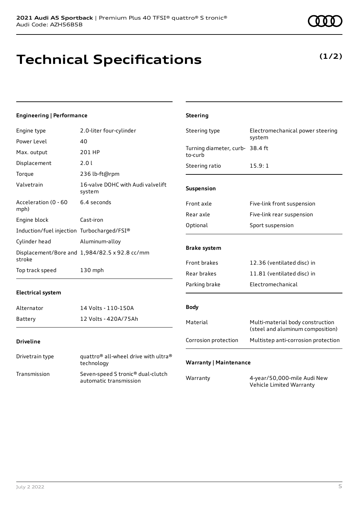## **Technical Specifications**

### **Engineering | Performance**

| Engine type                                | 2.0-liter four-cylinder                                     | Steering type                              | Electromechanical power steering                                     |
|--------------------------------------------|-------------------------------------------------------------|--------------------------------------------|----------------------------------------------------------------------|
| Power Level                                | 40                                                          |                                            | system                                                               |
| Max. output                                | 201 HP                                                      | Turning diameter, curb- 38.4 ft<br>to-curb |                                                                      |
| Displacement                               | 2.01                                                        | Steering ratio                             | 15.9:1                                                               |
| Torque                                     | 236 lb-ft@rpm                                               |                                            |                                                                      |
| Valvetrain                                 | 16-valve DOHC with Audi valvelift<br>system                 | Suspension                                 |                                                                      |
| Acceleration (0 - 60<br>mph)               | 6.4 seconds                                                 | Front axle                                 | Five-link front suspension                                           |
| Engine block                               | Cast-iron                                                   | Rear axle                                  | Five-link rear suspension                                            |
|                                            |                                                             | Optional                                   | Sport suspension                                                     |
| Induction/fuel injection Turbocharged/FSI® |                                                             |                                            |                                                                      |
| Cylinder head                              | Aluminum-alloy                                              | <b>Brake system</b>                        |                                                                      |
| stroke                                     | Displacement/Bore and 1,984/82.5 x 92.8 cc/mm               |                                            |                                                                      |
|                                            |                                                             | Front brakes                               | 12.36 (ventilated disc) in                                           |
| Top track speed<br>130 mph                 |                                                             | Rear brakes                                | 11.81 (ventilated disc) in                                           |
|                                            |                                                             | Parking brake                              | Electromechanical                                                    |
| <b>Electrical system</b>                   |                                                             |                                            |                                                                      |
| Alternator                                 | 14 Volts - 110-150A                                         | <b>Body</b>                                |                                                                      |
| Battery                                    | 12 Volts - 420A/75Ah                                        | Material                                   | Multi-material body construction<br>(steel and aluminum composition) |
| <b>Driveline</b>                           |                                                             | Corrosion protection                       | Multistep anti-corrosion protection                                  |
| Drivetrain type                            | quattro® all-wheel drive with ultra®<br>technology          | <b>Warranty   Maintenance</b>              |                                                                      |
| Transmission                               | Seven-speed S tronic® dual-clutch<br>automatic transmission | Warranty                                   | 4-year/50,000-mile Audi New<br>Vehicle Limited Warranty              |

**Steering**



### **(1/2)**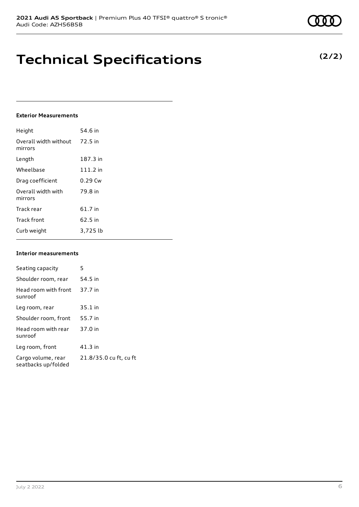## **Technical Specifications**

### **Exterior Measurements**

| Height                           | 54.6 in   |
|----------------------------------|-----------|
| Overall width without<br>mirrors | 72.5 in   |
| Length                           | 187.3 in  |
| Wheelbase                        | 111.2 in  |
| Drag coefficient                 | $0.29$ Cw |
| Overall width with<br>mirrors    | 79.8 in   |
| Track rear                       | 61.7 in   |
| <b>Track front</b>               | 62.5 in   |
| Curb weight                      | 3,725 lb  |

#### **Interior measurements**

| Seating capacity                          | 5                      |
|-------------------------------------------|------------------------|
| Shoulder room, rear                       | 54.5 in                |
| Head room with front<br>sunroof           | 37.7 in                |
| Leg room, rear                            | $35.1$ in              |
| Shoulder room, front                      | 55.7 in                |
| Head room with rear<br>sunroof            | 37.0 in                |
| Leg room, front                           | $41.3$ in              |
| Cargo volume, rear<br>seatbacks up/folded | 21.8/35.0 cu ft, cu ft |

**(2/2)**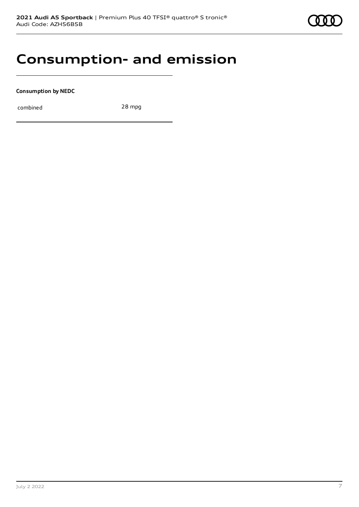### **Consumption- and emission**

**Consumption by NEDC**

combined 28 mpg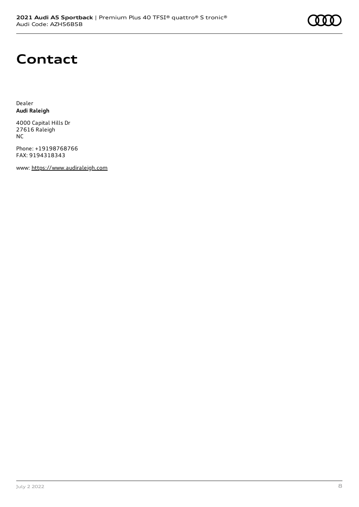# **Contact**

Dealer **Audi Raleigh**

4000 Capital Hills Dr 27616 Raleigh NC

Phone: +19198768766 FAX: 9194318343

www: [https://www.audiraleigh.com](https://www.audiraleigh.com/)